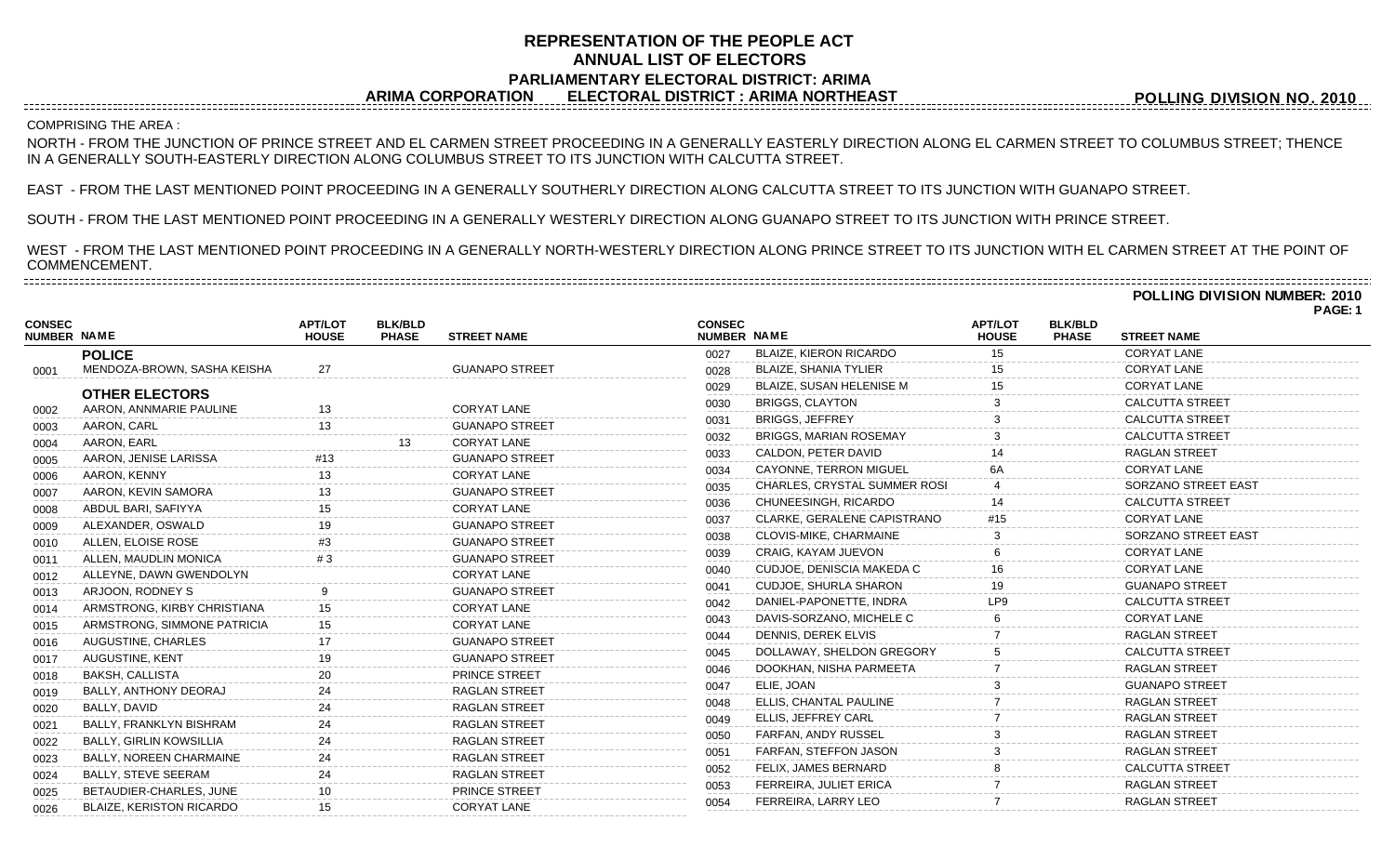## **REPRESENTATION OF THE PEOPLE ACT ANNUAL LIST OF ELECTORS PARLIAMENTARY ELECTORAL DISTRICT: ARIMA ARIMA CORPORATION ELECTORAL DISTRICT : ARIMA NORTHEAST**

**POLLING DIVISION NO. 2010**

**POLLING DIVISION NUMBER: 2010**

**PAGE: 1**

## COMPRISING THE AREA :

NORTH - FROM THE JUNCTION OF PRINCE STREET AND EL CARMEN STREET PROCEEDING IN A GENERALLY EASTERLY DIRECTION ALONG EL CARMEN STREET TO COLUMBUS STREET; THENCE IN A GENERALLY SOUTH-EASTERLY DIRECTION ALONG COLUMBUS STREET TO ITS JUNCTION WITH CALCUTTA STREET.

EAST - FROM THE LAST MENTIONED POINT PROCEEDING IN A GENERALLY SOUTHERLY DIRECTION ALONG CALCUTTA STREET TO ITS JUNCTION WITH GUANAPO STREET.

SOUTH - FROM THE LAST MENTIONED POINT PROCEEDING IN A GENERALLY WESTERLY DIRECTION ALONG GUANAPO STREET TO ITS JUNCTION WITH PRINCE STREET.

WEST - FROM THE LAST MENTIONED POINT PROCEEDING IN A GENERALLY NORTH-WESTERLY DIRECTION ALONG PRINCE STREET TO ITS JUNCTION WITH EL CARMEN STREET AT THE POINT OF COMMENCEMENT.

|                                     |                                 |                                |                                |                       |                              |                               |                                |                                |                        | . AVL. |
|-------------------------------------|---------------------------------|--------------------------------|--------------------------------|-----------------------|------------------------------|-------------------------------|--------------------------------|--------------------------------|------------------------|--------|
| <b>CONSEC</b><br><b>NUMBER NAME</b> |                                 | <b>APT/LOT</b><br><b>HOUSE</b> | <b>BLK/BLD</b><br><b>PHASE</b> | <b>STREET NAME</b>    | <b>CONSEC</b><br>NUMBER NAME |                               | <b>APT/LOT</b><br><b>HOUSE</b> | <b>BLK/BLD</b><br><b>PHASE</b> | <b>STREET NAME</b>     |        |
|                                     | <b>POLICE</b>                   |                                |                                |                       | 0027                         | BLAIZE, KIERON RICARDO        |                                |                                | <b>CORYAT LANE</b>     |        |
| 0001                                | MENDOZA-BROWN, SASHA KEISHA     | 27                             |                                | <b>GUANAPO STREET</b> | 0028                         | <b>BLAIZE, SHANIA TYLIER</b>  |                                |                                | <b>CORYAT LANE</b>     |        |
|                                     | <b>OTHER ELECTORS</b>           |                                |                                |                       | 0029                         | BLAIZE, SUSAN HELENISE M      |                                |                                | <b>CORYAT LANE</b>     |        |
| 0002                                | AARON, ANNMARIE PAULINE         | 13                             |                                | <b>CORYAT LANE</b>    | 0030                         | <b>BRIGGS, CLAYTON</b>        |                                |                                | <b>CALCUTTA STREET</b> |        |
| 0003                                | AARON, CARL                     |                                |                                | <b>GUANAPO STREET</b> | 0031                         | <b>BRIGGS, JEFFREY</b>        |                                |                                | <b>CALCUTTA STREET</b> |        |
| 0004                                | AARON, EARL                     |                                |                                | <b>CORYAT LANE</b>    | 0032                         | <b>BRIGGS, MARIAN ROSEMAY</b> |                                |                                | <b>CALCUTTA STREET</b> |        |
| 0005                                | AARON, JENISE LARISSA           |                                |                                | <b>GUANAPO STREET</b> | 0033                         | CALDON, PETER DAVID           |                                |                                | <b>RAGLAN STREET</b>   |        |
| 0006                                | AARON, KENNY                    |                                |                                | <b>CORYAT LANE</b>    | 0034                         | <b>CAYONNE, TERRON MIGUEL</b> |                                |                                | <b>CORYAT LANE</b>     |        |
| 0007                                | AARON, KEVIN SAMORA             |                                |                                | <b>GUANAPO STREET</b> | 0035                         | CHARLES, CRYSTAL SUMMER ROSI  |                                |                                | SORZANO STREET EAST    |        |
| 0008                                | ABDUL BARI, SAFIYYA             |                                |                                | <b>CORYAT LANE</b>    | 0036                         | CHUNEESINGH, RICARDO          |                                |                                | <b>CALCUTTA STREET</b> |        |
| 0009                                | ALEXANDER, OSWALD               |                                |                                | <b>GUANAPO STREET</b> | 0037                         | CLARKE, GERALENE CAPISTRANO   | #15                            |                                | <b>CORYAT LANE</b>     |        |
| 0010                                | ALLEN. ELOISE ROSE              |                                |                                | <b>GUANAPO STREET</b> | 0038                         | CLOVIS-MIKE, CHARMAINE        |                                |                                | SORZANO STREET EAST    |        |
| 0011                                | ALLEN, MAUDLIN MONICA           |                                |                                | <b>GUANAPO STREET</b> | 0039                         | CRAIG, KAYAM JUEVON           |                                |                                | <b>CORYAT LANE</b>     |        |
| 0012                                | ALLEYNE, DAWN GWENDOLYN         |                                |                                | <b>CORYAT LANE</b>    | 0040                         | CUDJOE, DENISCIA MAKEDA C     |                                |                                | <b>CORYAT LANE</b>     |        |
| 0013                                | ARJOON, RODNEY S                |                                |                                | <b>GUANAPO STREET</b> | 0041                         | <b>CUDJOE, SHURLA SHARON</b>  |                                |                                | <b>GUANAPO STREET</b>  |        |
| 0014                                | ARMSTRONG, KIRBY CHRISTIANA     |                                |                                | <b>CORYAT LANE</b>    | 0042                         | DANIEL-PAPONETTE, INDRA       | LP9                            |                                | <b>CALCUTTA STREET</b> |        |
| 0015                                | ARMSTRONG, SIMMONE PATRICIA     |                                |                                | <b>CORYAT LANE</b>    | 0043                         | DAVIS-SORZANO, MICHELE C      |                                |                                | <b>CORYAT LANE</b>     |        |
| 0016                                | AUGUSTINE, CHARLES              |                                |                                | <b>GUANAPO STREET</b> | 0044                         | DENNIS, DEREK ELVIS           |                                |                                | <b>RAGLAN STREET</b>   |        |
|                                     | AUGUSTINE, KENT                 |                                |                                | <b>GUANAPO STREET</b> | 0045                         | DOLLAWAY, SHELDON GREGORY     |                                |                                | <b>CALCUTTA STREET</b> |        |
| 0017<br>0018                        | <b>BAKSH, CALLISTA</b>          |                                |                                | PRINCE STREET         | 0046                         | DOOKHAN, NISHA PARMEETA       |                                |                                | <b>RAGLAN STREET</b>   |        |
|                                     | BALLY, ANTHONY DEORAJ           |                                |                                | <b>RAGLAN STREET</b>  | 0047                         | ELIE, JOAN                    |                                |                                | <b>GUANAPO STREET</b>  |        |
| 0019                                | BALLY, DAVID                    |                                |                                | RAGLAN STREET         | 0048                         | ELLIS. CHANTAL PAULINE        |                                |                                | <b>RAGLAN STREET</b>   |        |
| 0020                                | BALLY, FRANKLYN BISHRAM         |                                |                                | <b>RAGLAN STREET</b>  | 0049                         | ELLIS, JEFFREY CARL           |                                |                                | <b>RAGLAN STREET</b>   |        |
| 0021                                | <b>BALLY, GIRLIN KOWSILLIA</b>  | 24                             |                                | <b>RAGLAN STREET</b>  | 0050                         | FARFAN, ANDY RUSSEL           |                                |                                | <b>RAGLAN STREET</b>   |        |
| 0022                                | BALLY, NOREEN CHARMAINE         |                                |                                | <b>RAGLAN STREET</b>  | 0051                         | FARFAN, STEFFON JASON         |                                |                                | <b>RAGLAN STREET</b>   |        |
| 0023                                | <b>BALLY, STEVE SEERAM</b>      |                                |                                | <b>RAGLAN STREET</b>  | 0052                         | FELIX, JAMES BERNARD          |                                |                                | <b>CALCUTTA STREET</b> |        |
| 0024                                |                                 |                                |                                |                       | 0053                         | FERREIRA, JULIET ERICA        |                                |                                | <b>RAGLAN STREET</b>   |        |
| 0025                                | BETAUDIER-CHARLES, JUNE         |                                |                                | PRINCE STREET         | 0054                         | FERREIRA, LARRY LEO           |                                |                                | <b>RAGLAN STREET</b>   |        |
| 0026                                | <b>BLAIZE, KERISTON RICARDO</b> | 15                             |                                | <b>CORYAT LANE</b>    |                              |                               |                                |                                |                        |        |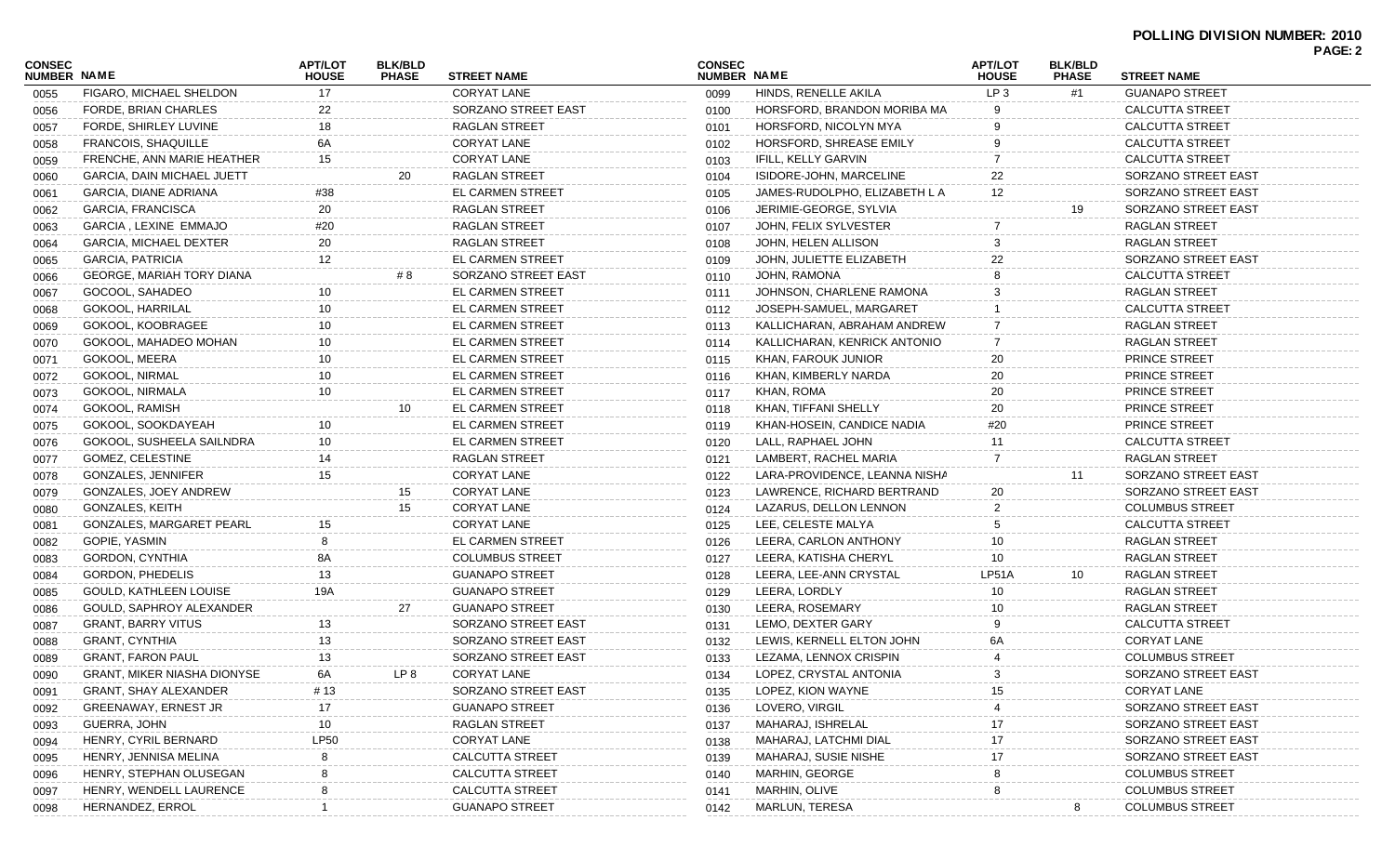| <b>CONSEC</b><br>NUMBER NAME |                                                 | <b>APT/LOT</b><br><b>HOUSE</b> | <b>BLK/BLD</b><br><b>PHASE</b> | <b>STREET NAME</b>      | <b>CONSEC</b><br><b>NUMBER NAME</b> |                               | <b>APT/LOT</b><br><b>HOUSE</b> | <b>BLK/BLD</b><br><b>PHASE</b> | <b>STREET NAME</b>     | <b>PAGE: 2</b> |
|------------------------------|-------------------------------------------------|--------------------------------|--------------------------------|-------------------------|-------------------------------------|-------------------------------|--------------------------------|--------------------------------|------------------------|----------------|
| 0055                         | FIGARO, MICHAEL SHELDON                         | 17                             |                                | <b>CORYAT LANE</b>      | 0099                                | HINDS, RENELLE AKILA          | LP <sub>3</sub>                | #1                             | <b>GUANAPO STREET</b>  |                |
| 0056                         | FORDE, BRIAN CHARLES                            | 22                             |                                | SORZANO STREET EAST     | 0100                                | HORSFORD, BRANDON MORIBA MA   |                                |                                | <b>CALCUTTA STREET</b> |                |
| 0057                         | FORDE, SHIRLEY LUVINE                           | 18                             |                                | <b>RAGLAN STREET</b>    | 0101                                | HORSFORD, NICOLYN MYA         |                                |                                | <b>CALCUTTA STREET</b> |                |
| 0058                         | <b>FRANCOIS, SHAQUILLE</b>                      | 6A                             |                                | <b>CORYAT LANE</b>      | 0102                                | HORSFORD, SHREASE EMILY       |                                |                                | <b>CALCUTTA STREET</b> |                |
| 0059                         | FRENCHE, ANN MARIE HEATHER                      | 15                             |                                | <b>CORYAT LANE</b>      | 0103                                | IFILL, KELLY GARVIN           |                                |                                | <b>CALCUTTA STREET</b> |                |
| 0060                         | GARCIA, DAIN MICHAEL JUETT                      |                                | 20                             | <b>RAGLAN STREET</b>    | 0104                                | ISIDORE-JOHN, MARCELINE       | 22                             |                                | SORZANO STREET EAST    |                |
| 0061                         | GARCIA, DIANE ADRIANA                           | #38                            |                                | EL CARMEN STREET        | 0105                                | JAMES-RUDOLPHO, ELIZABETH L A | 12                             |                                | SORZANO STREET EAST    |                |
| 0062                         | GARCIA, FRANCISCA                               | 20                             |                                | <b>RAGLAN STREET</b>    | 0106                                | JERIMIE-GEORGE, SYLVIA        |                                | 19                             | SORZANO STREET EAST    |                |
| 0063                         | GARCIA, LEXINE EMMAJO                           | #20                            |                                | RAGLAN STREET           | 0107                                | JOHN, FELIX SYLVESTER         |                                |                                | RAGLAN STREET          |                |
| 0064                         | <b>GARCIA, MICHAEL DEXTER</b>                   | 20                             |                                | <b>RAGLAN STREET</b>    | 0108                                | JOHN, HELEN ALLISON           |                                |                                | <b>RAGLAN STREET</b>   |                |
| 0065                         | GARCIA, PATRICIA                                | 12                             |                                | EL CARMEN STREET        | 0109                                | JOHN, JULIETTE ELIZABETH      | 22                             |                                | SORZANO STREET EAST    |                |
| 0066                         | GEORGE, MARIAH TORY DIANA                       |                                | # 8                            | SORZANO STREET EAST     | 0110                                | JOHN, RAMONA                  |                                |                                | <b>CALCUTTA STREET</b> |                |
| 0067                         | GOCOOL, SAHADEO                                 | 10                             |                                | EL CARMEN STREET        | 0111                                | JOHNSON, CHARLENE RAMONA      |                                |                                | <b>RAGLAN STREET</b>   |                |
| 0068                         | GOKOOL, HARRILAL                                | 10                             |                                | EL CARMEN STREET        | 0112                                | JOSEPH-SAMUEL, MARGARET       |                                |                                | <b>CALCUTTA STREET</b> |                |
| 0069                         | GOKOOL, KOOBRAGEE                               | 10                             |                                | EL CARMEN STREET        | 0113                                | KALLICHARAN. ABRAHAM ANDREW   |                                |                                | RAGLAN STREET          |                |
|                              | GOKOOL, MAHADEO MOHAN                           | 10                             |                                | EL CARMEN STREET        | 0114                                | KALLICHARAN, KENRICK ANTONIO  |                                |                                | RAGLAN STREET          |                |
| 0070                         | GOKOOL, MEERA                                   | 10                             |                                | EL CARMEN STREET        | 0115                                | KHAN, FAROUK JUNIOR           | 20                             |                                | PRINCE STREET          |                |
| 0071                         | GOKOOL, NIRMAL                                  | 10                             |                                | EL CARMEN STREET        |                                     | KHAN, KIMBERLY NARDA          | 20                             |                                | <b>PRINCE STREET</b>   |                |
| 0072                         |                                                 | 10                             |                                | <b>EL CARMEN STREET</b> | 0116                                | KHAN, ROMA                    | 20                             |                                | <b>PRINCE STREET</b>   |                |
| 0073                         | GOKOOL, NIRMALA                                 |                                |                                |                         | 0117                                |                               |                                |                                |                        |                |
| 0074                         | GOKOOL, RAMISH                                  |                                | 10                             | EL CARMEN STREET        | 0118                                | KHAN, TIFFANI SHELLY          | 20                             |                                | PRINCE STREET          |                |
| 0075                         | GOKOOL, SOOKDAYEAH<br>GOKOOL, SUSHEELA SAILNDRA | 10                             |                                | EL CARMEN STREET        | 0119                                | KHAN-HOSEIN, CANDICE NADIA    | #20                            |                                | PRINCE STREET          |                |
| 0076                         |                                                 | 10                             |                                | EL CARMEN STREET        | 0120                                | LALL, RAPHAEL JOHN            | 11                             |                                | <b>CALCUTTA STREET</b> |                |
| 0077                         | GOMEZ, CELESTINE                                | 14                             |                                | RAGLAN STREET           | 0121                                | LAMBERT, RACHEL MARIA         |                                |                                | RAGLAN STREET          |                |
| 0078                         | GONZALES, JENNIFER                              | 15                             |                                | CORYAT LANE             | 0122                                | LARA-PROVIDENCE, LEANNA NISHA |                                | 11                             | SORZANO STREET EAST    |                |
| 0079                         | GONZALES, JOEY ANDREW                           |                                | 15                             | <b>CORYAT LANE</b>      | 0123                                | LAWRENCE, RICHARD BERTRAND    | 20                             |                                | SORZANO STREET EAST    |                |
| 0080                         | GONZALES, KEITH                                 |                                | 15                             | <b>CORYAT LANE</b>      | 0124                                | LAZARUS, DELLON LENNON        |                                |                                | <b>COLUMBUS STREET</b> |                |
| 0081                         | <b>GONZALES, MARGARET PEARL</b>                 | 15                             |                                | CORYAT LANE             | 0125                                | LEE, CELESTE MALYA            |                                |                                | <b>CALCUTTA STREET</b> |                |
| 0082                         | GOPIE, YASMIN                                   |                                |                                | EL CARMEN STREET        | 0126                                | LEERA, CARLON ANTHONY         | 10                             |                                | <b>RAGLAN STREET</b>   |                |
| 0083                         | GORDON, CYNTHIA                                 | 8A                             |                                | <b>COLUMBUS STREET</b>  | 0127                                | LEERA, KATISHA CHERYL         | 10                             |                                | RAGLAN STREET          |                |
| 0084                         | <b>GORDON, PHEDELIS</b>                         | 13                             |                                | <b>GUANAPO STREET</b>   | 0128                                | LEERA, LEE-ANN CRYSTAL        | LP51A                          | 10                             | <b>RAGLAN STREET</b>   |                |
| 0085                         | GOULD, KATHLEEN LOUISE                          | 19A                            |                                | <b>GUANAPO STREET</b>   | 0129                                | LEERA, LORDLY                 | 10                             |                                | <b>RAGLAN STREET</b>   |                |
| 0086                         | GOULD, SAPHROY ALEXANDER                        |                                | 27                             | <b>GUANAPO STREET</b>   | 0130                                | LEERA, ROSEMARY               | 10                             |                                | <b>RAGLAN STREET</b>   |                |
| 0087                         | <b>GRANT, BARRY VITUS</b>                       | 13                             |                                | SORZANO STREET EAST     | 0131                                | LEMO, DEXTER GARY             |                                |                                | <b>CALCUTTA STREET</b> |                |
| 0088                         | <b>GRANT, CYNTHIA</b>                           | 13                             |                                | SORZANO STREET EAST     | 0132                                | LEWIS, KERNELL ELTON JOHN     |                                |                                | <b>CORYAT LANE</b>     |                |
| 0089                         | <b>GRANT, FARON PAUL</b>                        | 13                             |                                | SORZANO STREET EAST     | 0133                                | LEZAMA, LENNOX CRISPIN        | 4                              |                                | <b>COLUMBUS STREET</b> |                |
| 0090                         | <b>GRANT, MIKER NIASHA DIONYSE</b>              | 6A                             | LP 8                           | <b>CORYAT LANE</b>      | 0134                                | LOPEZ, CRYSTAL ANTONIA        | 3                              |                                | SORZANO STREET EAST    |                |
| 0091                         | <b>GRANT, SHAY ALEXANDER</b>                    | #13                            |                                | SORZANO STREET EAST     | 0135                                | LOPEZ, KION WAYNE             |                                |                                | <b>CORYAT LANE</b>     |                |
| 0092                         | GREENAWAY, ERNEST JR                            | 17                             |                                | <b>GUANAPO STREET</b>   | 0136                                | LOVERO, VIRGIL                |                                |                                | SORZANO STREET EAST    |                |
| 0093                         | GUERRA, JOHN                                    | 10                             |                                | RAGLAN STREET           | 0137                                | MAHARAJ, ISHRELAL             | 17                             |                                | SORZANO STREET EAST    |                |
| 0094                         | HENRY, CYRIL BERNARD                            | <b>LP50</b>                    |                                | CORYAT LANE             | 0138                                | MAHARAJ, LATCHMI DIAL         | 17                             |                                | SORZANO STREET EAST    |                |
| 0095                         | HENRY, JENNISA MELINA                           |                                |                                | <b>CALCUTTA STREET</b>  | 0139                                | MAHARAJ, SUSIE NISHE          | 17                             |                                | SORZANO STREET EAST    |                |
| 0096                         | HENRY, STEPHAN OLUSEGAN                         |                                |                                | <b>CALCUTTA STREET</b>  | 0140                                | <b>MARHIN, GEORGE</b>         |                                |                                | <b>COLUMBUS STREET</b> |                |
| 0097                         | HENRY, WENDELL LAURENCE                         |                                |                                | <b>CALCUTTA STREET</b>  | 0141                                | MARHIN, OLIVE                 |                                |                                | <b>COLUMBUS STREET</b> |                |
| 0098                         | HERNANDEZ, ERROL                                |                                |                                | <b>GUANAPO STREET</b>   | 0142                                | <b>MARLUN, TERESA</b>         |                                | 8                              | <b>COLUMBUS STREET</b> |                |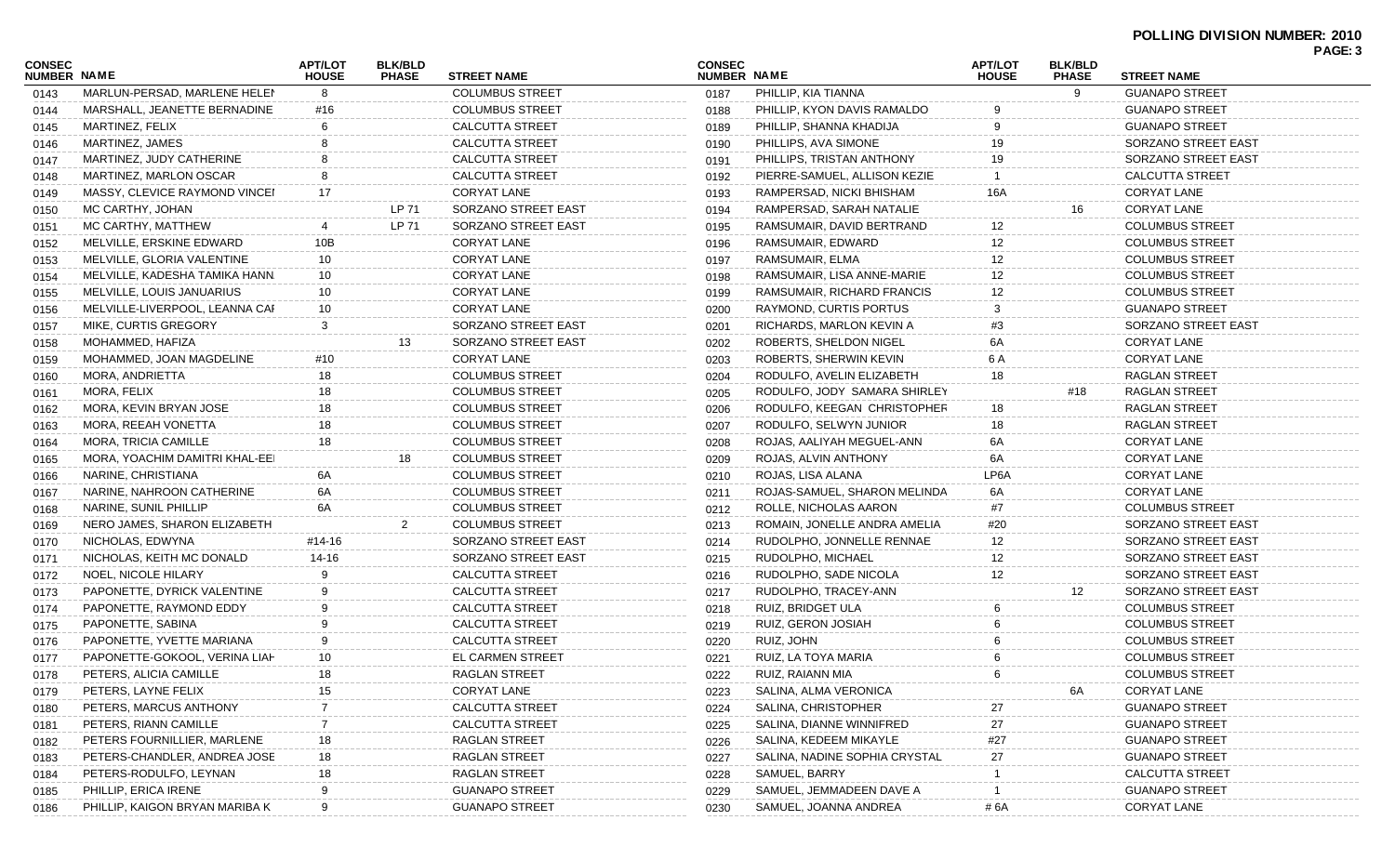## **POLLING DIVISION NUMBER: 2010 PAGE: 3**

| <b>CONSEC</b><br>NUMBER NAME |                                | <b>APT/LOT</b><br><b>HOUSE</b> | <b>BLK/BLD</b><br><b>PHASE</b> | <b>STREET NAME</b>      | <b>CONSEC</b><br>NUMBER NAME |                               | <b>APT/LOT</b><br><b>HOUSE</b> | <b>BLK/BLD</b><br><b>PHASE</b> | <b>STREET NAME</b>     | . השכו |
|------------------------------|--------------------------------|--------------------------------|--------------------------------|-------------------------|------------------------------|-------------------------------|--------------------------------|--------------------------------|------------------------|--------|
| 0143                         | MARLUN-PERSAD, MARLENE HELEN   | 8                              |                                | <b>COLUMBUS STREET</b>  | 0187                         | PHILLIP, KIA TIANNA           |                                | 9                              | <b>GUANAPO STREET</b>  |        |
| 0144                         | MARSHALL, JEANETTE BERNADINE   | #16                            |                                | <b>COLUMBUS STREET</b>  | 0188                         | PHILLIP, KYON DAVIS RAMALDO   |                                |                                | <b>GUANAPO STREET</b>  |        |
| 0145                         | MARTINEZ, FELIX                |                                |                                | <b>CALCUTTA STREET</b>  | 0189                         | PHILLIP, SHANNA KHADIJA       |                                |                                | <b>GUANAPO STREET</b>  |        |
| 0146                         | MARTINEZ, JAMES                |                                |                                | <b>CALCUTTA STREET</b>  | 0190                         | PHILLIPS, AVA SIMONE          |                                |                                | SORZANO STREET EAST    |        |
| 0147                         | MARTINEZ, JUDY CATHERINE       |                                |                                | <b>CALCUTTA STREET</b>  | 0191                         | PHILLIPS, TRISTAN ANTHONY     | 19                             |                                | SORZANO STREET EAST    |        |
| 0148                         | MARTINEZ, MARLON OSCAR         | 8                              |                                | <b>CALCUTTA STREET</b>  | 0192                         | PIERRE-SAMUEL, ALLISON KEZIE  |                                |                                | <b>CALCUTTA STREET</b> |        |
| 0149                         | MASSY, CLEVICE RAYMOND VINCEI  |                                |                                | <b>CORYAT LANE</b>      | 0193                         | RAMPERSAD, NICKI BHISHAM      | 16A                            |                                | <b>CORYAT LANE</b>     |        |
| 0150                         | MC CARTHY, JOHAN               |                                | LP 71                          | SORZANO STREET EAST     | 0194                         | RAMPERSAD, SARAH NATALIE      |                                | 16                             | CORYAT LANE            |        |
| 0151                         | MC CARTHY, MATTHEW             |                                | LP 71                          | SORZANO STREET EAST     | 0195                         | RAMSUMAIR, DAVID BERTRAND     | 12                             |                                | <b>COLUMBUS STREET</b> |        |
| 0152                         | MELVILLE, ERSKINE EDWARD       | 10B                            |                                | CORYAT LANE             | 0196                         | RAMSUMAIR, EDWARD             | 12                             |                                | <b>COLUMBUS STREET</b> |        |
| 0153                         | MELVILLE, GLORIA VALENTINE     | 10                             |                                | <b>CORYAT LANE</b>      | 0197                         | RAMSUMAIR, ELMA               | 12                             |                                | <b>COLUMBUS STREET</b> |        |
| 0154                         | MELVILLE, KADESHA TAMIKA HANN. | 10                             |                                | <b>CORYAT LANE</b>      | 0198                         | RAMSUMAIR, LISA ANNE-MARIE    | 12                             |                                | <b>COLUMBUS STREET</b> |        |
| 0155                         | MELVILLE, LOUIS JANUARIUS      | 10                             |                                | <b>CORYAT LANE</b>      | 0199                         | RAMSUMAIR, RICHARD FRANCIS    | 12                             |                                | <b>COLUMBUS STREET</b> |        |
| 0156                         | MELVILLE-LIVERPOOL, LEANNA CAF | 10                             |                                | CORYAT LANE             | 0200                         | <b>RAYMOND, CURTIS PORTUS</b> | 3                              |                                | <b>GUANAPO STREET</b>  |        |
| 0157                         | MIKE, CURTIS GREGORY           | 3                              |                                | SORZANO STREET EAST     | 0201                         | RICHARDS, MARLON KEVIN A      | #3                             |                                | SORZANO STREET EAST    |        |
| 0158                         | MOHAMMED, HAFIZA               |                                | 13                             | SORZANO STREET EAST     | 0202                         | ROBERTS, SHELDON NIGEL        | 6A                             |                                | <b>CORYAT LANE</b>     |        |
| 0159                         | MOHAMMED, JOAN MAGDELINE       | #10                            |                                | <b>CORYAT LANE</b>      | 0203                         | ROBERTS, SHERWIN KEVIN        | 6 A                            |                                | CORYAT LANE            |        |
| 0160                         | MORA, ANDRIETTA                | 18                             |                                | <b>COLUMBUS STREET</b>  | 0204                         | RODULFO, AVELIN ELIZABETH     | 18                             |                                | <b>RAGLAN STREET</b>   |        |
| 0161                         | MORA, FELIX                    | 18                             |                                | <b>COLUMBUS STREET</b>  | 0205                         | RODULFO, JODY SAMARA SHIRLEY  |                                | #18                            | RAGLAN STREET          |        |
| 0162                         | MORA, KEVIN BRYAN JOSE         | 18                             |                                | <b>COLUMBUS STREET</b>  | 0206                         | RODULFO, KEEGAN CHRISTOPHER   | 18                             |                                | <b>RAGLAN STREET</b>   |        |
| 0163                         | MORA, REEAH VONETTA            | 18                             |                                | <b>COLUMBUS STREET</b>  | 0207                         | RODULFO, SELWYN JUNIOR        | 18                             |                                | <b>RAGLAN STREET</b>   |        |
| 0164                         | <b>MORA, TRICIA CAMILLE</b>    |                                |                                | <b>COLUMBUS STREET</b>  | 0208                         | ROJAS, AALIYAH MEGUEL-ANN     | 6A                             |                                | CORYAT LANE            |        |
| 0165                         | MORA, YOACHIM DAMITRI KHAL-EEI |                                | 18                             | <b>COLUMBUS STREET</b>  | 0209                         | ROJAS, ALVIN ANTHONY          | 6A                             |                                | CORYAT LANE            |        |
| 0166                         | NARINE, CHRISTIANA             | 6A                             |                                | <b>COLUMBUS STREET</b>  | 0210                         | ROJAS, LISA ALANA             | LP6A                           |                                | <b>CORYAT LANE</b>     |        |
| 0167                         | NARINE, NAHROON CATHERINE      | 6A                             |                                | <b>COLUMBUS STREET</b>  | 0211                         | ROJAS-SAMUEL, SHARON MELINDA  | 6A                             |                                | CORYAT LANE            |        |
| 0168                         | NARINE, SUNIL PHILLIP          | 6A                             |                                | <b>COLUMBUS STREET</b>  | 0212                         | ROLLE, NICHOLAS AARON         | #7                             |                                | <b>COLUMBUS STREET</b> |        |
| 0169                         | NERO JAMES, SHARON ELIZABETH   |                                |                                | <b>COLUMBUS STREET</b>  | 0213                         | ROMAIN, JONELLE ANDRA AMELIA  | #20                            |                                | SORZANO STREET EAST    |        |
| 0170                         | NICHOLAS, EDWYNA               | #14-16                         |                                | SORZANO STREET EAST     | 0214                         | RUDOLPHO, JONNELLE RENNAE     | 12                             |                                | SORZANO STREET EAST    |        |
| 0171                         | NICHOLAS, KEITH MC DONALD      | 14-16                          |                                | SORZANO STREET EAST     | 0215                         | RUDOLPHO, MICHAEL             | 12                             |                                | SORZANO STREET EAST    |        |
| 0172                         | NOEL, NICOLE HILARY            |                                |                                | <b>CALCUTTA STREET</b>  | 0216                         | RUDOLPHO, SADE NICOLA         |                                |                                | SORZANO STREET EAST    |        |
| 0173                         | PAPONETTE, DYRICK VALENTINE    |                                |                                | <b>CALCUTTA STREET</b>  | 0217                         | RUDOLPHO, TRACEY-ANN          |                                | 12                             | SORZANO STREET EAST    |        |
| 0174                         | PAPONETTE, RAYMOND EDDY        |                                |                                | <b>CALCUTTA STREET</b>  | 0218                         | RUIZ, BRIDGET ULA             |                                |                                | <b>COLUMBUS STREET</b> |        |
| 0175                         | PAPONETTE, SABINA              |                                |                                | <b>CALCUTTA STREET</b>  | 0219                         | RUIZ, GERON JOSIAH            |                                |                                | <b>COLUMBUS STREET</b> |        |
| 0176                         | PAPONETTE, YVETTE MARIANA      |                                |                                | <b>CALCUTTA STREET</b>  | 0220                         | RUIZ, JOHN                    |                                |                                | <b>COLUMBUS STREET</b> |        |
| 0177                         | PAPONETTE-GOKOOL, VERINA LIAH  | 10                             |                                | <b>EL CARMEN STREET</b> | 0221                         | RUIZ, LA TOYA MARIA           |                                |                                | <b>COLUMBUS STREET</b> |        |
| 0178                         | PETERS, ALICIA CAMILLE         |                                |                                | RAGLAN STREET           | 0222                         | RUIZ, RAIANN MIA              |                                |                                | <b>COLUMBUS STREET</b> |        |
| 0179                         | PETERS, LAYNE FELIX            | 15                             |                                | CORYAT LANE             | 0223                         | SALINA, ALMA VERONICA         |                                | 6A                             | CORYAT LANE            |        |
| 0180                         | PETERS, MARCUS ANTHONY         |                                |                                | <b>CALCUTTA STREET</b>  | 0224                         | SALINA, CHRISTOPHER           | 27                             |                                | <b>GUANAPO STREET</b>  |        |
| 0181                         | PETERS, RIANN CAMILLE          |                                |                                | <b>CALCUTTA STREET</b>  | 0225                         | SALINA, DIANNE WINNIFRED      | 27                             |                                | <b>GUANAPO STREET</b>  |        |
| 0182                         | PETERS FOURNILLIER, MARLENE    | 18                             |                                | <b>RAGLAN STREET</b>    | 0226                         | SALINA, KEDEEM MIKAYLE        | #27                            |                                | <b>GUANAPO STREET</b>  |        |
| 0183                         | PETERS-CHANDLER, ANDREA JOSE   | 18                             |                                | <b>RAGLAN STREET</b>    | 0227                         | SALINA, NADINE SOPHIA CRYSTAL | 27                             |                                | <b>GUANAPO STREET</b>  |        |
| 0184                         | PETERS-RODULFO, LEYNAN         | 18                             |                                | <b>RAGLAN STREET</b>    | 0228                         | SAMUEL, BARRY                 |                                |                                | <b>CALCUTTA STREET</b> |        |
| 0185                         | PHILLIP, ERICA IRENE           |                                |                                | <b>GUANAPO STREET</b>   | 0229                         | SAMUEL, JEMMADEEN DAVE A      |                                |                                | <b>GUANAPO STREET</b>  |        |
| 0186                         | PHILLIP, KAIGON BRYAN MARIBA K |                                |                                | <b>GUANAPO STREET</b>   | 0230                         | SAMUEL, JOANNA ANDREA         | # 6A                           |                                | <b>CORYAT LANE</b>     |        |
|                              |                                |                                |                                |                         |                              |                               |                                |                                |                        |        |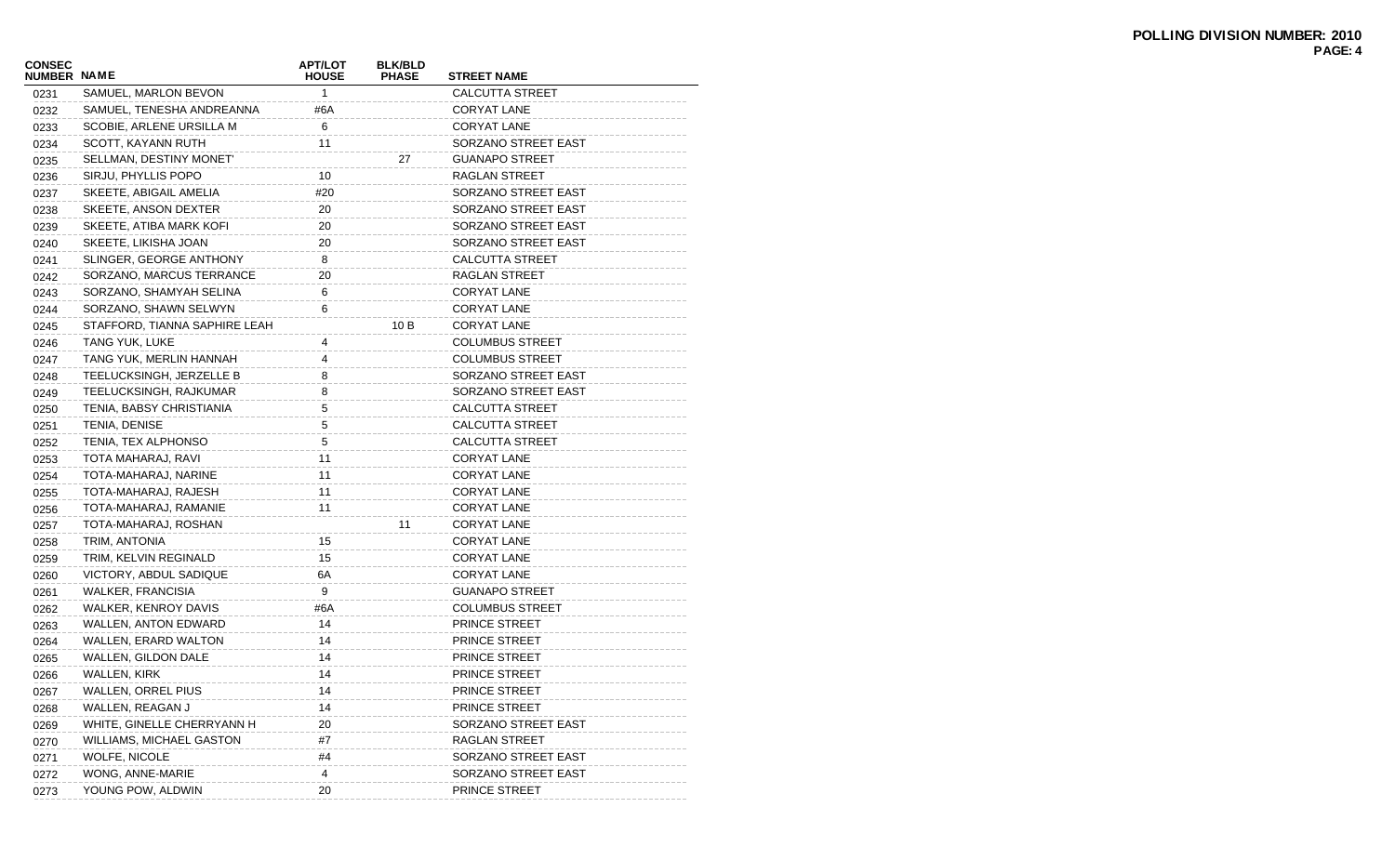| <b>CONSEC</b><br>NUMBER NAME |                                 | <b>APT/LOT</b><br><b>HOUSE</b> | <b>BLK/BLD</b><br><b>PHASE</b> | <b>STREET NAME</b>     |
|------------------------------|---------------------------------|--------------------------------|--------------------------------|------------------------|
| 0231                         | SAMUEL, MARLON BEVON            | 1                              |                                | CALCUTTA STREET        |
| 0232                         | SAMUEL, TENESHA ANDREANNA       | #6A                            |                                | <b>CORYAT LANE</b>     |
| 0233                         | SCOBIE, ARLENE URSILLA M        | 6                              |                                | CORYAT LANE            |
| 0234                         | SCOTT, KAYANN RUTH              | 11                             |                                | SORZANO STREET EAST    |
| 0235                         | SELLMAN, DESTINY MONET'         |                                | 27                             | <b>GUANAPO STREET</b>  |
| 0236                         | SIRJU, PHYLLIS POPO             | 10                             |                                | RAGLAN STREET          |
| 0237                         | SKEETE, ABIGAIL AMELIA          | #20                            |                                | SORZANO STREET EAST    |
| 0238                         | SKEETE, ANSON DEXTER            | 20                             |                                | SORZANO STREET EAST    |
| 0239                         | SKEETE, ATIBA MARK KOFI         | 20                             |                                | SORZANO STREET EAST    |
| 0240                         | SKEETE, LIKISHA JOAN            | 20                             |                                | SORZANO STREET EAST    |
| 0241                         | SLINGER, GEORGE ANTHONY         | 8                              |                                | CALCUTTA STREET        |
| 0242                         | SORZANO, MARCUS TERRANCE        | 20                             |                                | RAGLAN STREET          |
| 0243                         | SORZANO, SHAMYAH SELINA         | 6                              |                                | <b>CORYAT LANE</b>     |
| 0244                         | SORZANO, SHAWN SELWYN           | 6                              |                                | CORYAT LANE            |
| 0245                         | STAFFORD, TIANNA SAPHIRE LEAH   |                                | 10B                            | CORYAT LANE            |
| 0246                         | TANG YUK, LUKE                  | 4                              |                                | <b>COLUMBUS STREET</b> |
| 0247                         | TANG YUK, MERLIN HANNAH         | 4                              |                                | <b>COLUMBUS STREET</b> |
| 0248                         | TEELUCKSINGH, JERZELLE B        | 8                              |                                | SORZANO STREET EAST    |
| 0249                         | TEELUCKSINGH, RAJKUMAR          | 8                              |                                | SORZANO STREET EAST    |
| 0250                         | TENIA, BABSY CHRISTIANIA        | 5                              |                                | CALCUTTA STREET        |
| 0251                         | TENIA, DENISE                   | 5                              |                                | CALCUTTA STREET        |
| 0252                         | TENIA, TEX ALPHONSO             | 5                              |                                | <b>CALCUTTA STREET</b> |
| 0253                         | TOTA MAHARAJ, RAVI              | 11                             |                                | <b>CORYAT LANE</b>     |
| 0254                         | TOTA-MAHARAJ, NARINE            | 11                             |                                | CORYAT LANE            |
| 0255                         | TOTA-MAHARAJ, RAJESH            | 11                             |                                | CORYAT LANE            |
| 0256                         | TOTA-MAHARAJ, RAMANIE           | 11                             |                                | CORYAT LANE            |
| 0257                         | TOTA-MAHARAJ, ROSHAN            |                                | 11                             | CORYAT LANE            |
| 0258                         | TRIM, ANTONIA                   | 15                             |                                | CORYAT LANE            |
| 0259                         | TRIM, KELVIN REGINALD           | 15                             |                                | CORYAT LANE            |
| 0260                         | VICTORY, ABDUL SADIQUE          | 6A                             |                                | CORYAT LANE            |
| 0261                         | WALKER, FRANCISIA               | 9                              |                                | <b>GUANAPO STREET</b>  |
| 0262                         | WALKER, KENROY DAVIS            | #6A                            |                                | <b>COLUMBUS STREET</b> |
| 0263                         | WALLEN, ANTON EDWARD            | 14                             |                                | PRINCE STREET          |
| 0264                         | WALLEN, ERARD WALTON            | 14                             |                                | PRINCE STREET          |
| 0265                         | WALLEN, GILDON DALE             | 14                             |                                | PRINCE STREET          |
| 0266                         | WALLEN, KIRK                    | 14                             |                                | <b>PRINCE STREET</b>   |
| 0267                         | WALLEN, ORREL PIUS              | 14                             |                                | PRINCE STREET          |
| 0268                         | WALLEN, REAGAN J                | 14                             |                                | PRINCE STREET          |
| 0269                         | WHITE, GINELLE CHERRYANN H      | 20                             |                                | SORZANO STREET EAST    |
| 0270                         | <b>WILLIAMS, MICHAEL GASTON</b> | #7                             |                                | RAGLAN STREET          |
| 0271                         | WOLFE, NICOLE                   | #4                             |                                | SORZANO STREET EAST    |
| 0272                         | WONG, ANNE-MARIE                | $\overline{4}$                 |                                | SORZANO STREET EAST    |
| 0273                         | YOUNG POW, ALDWIN               | 20                             |                                | PRINCE STREET          |
|                              |                                 |                                |                                |                        |